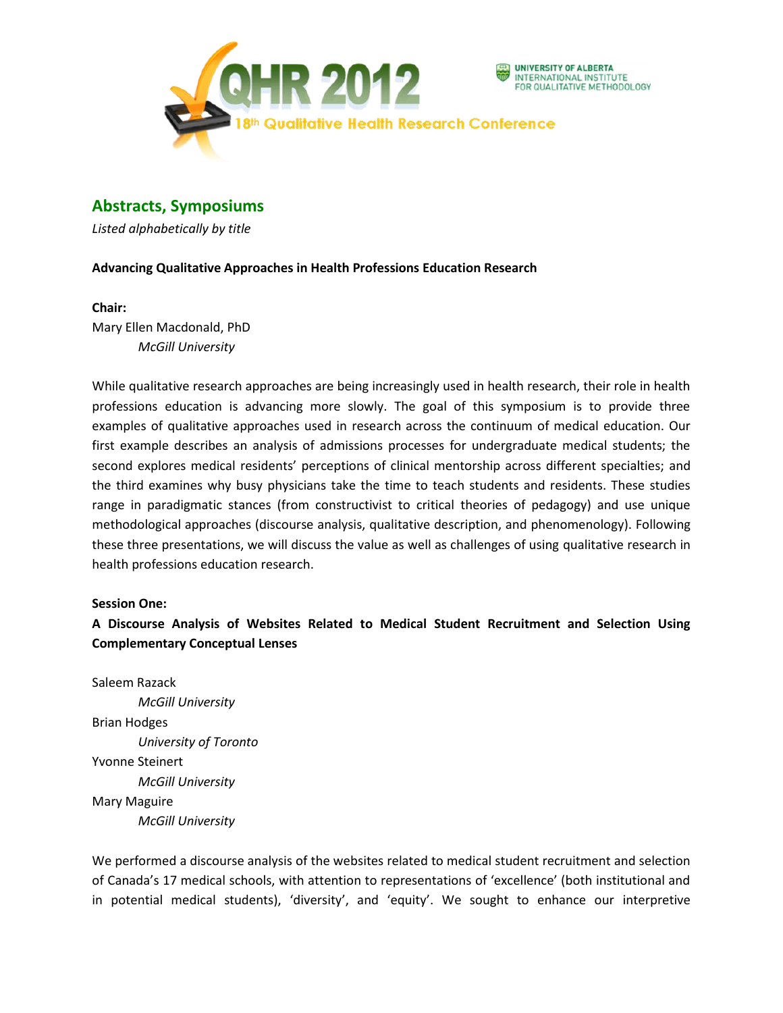

# **Abstracts, Symposiums**

*Listed alphabetically by title*

# **Advancing Qualitative Approaches in Health Professions Education Research**

# **Chair:**

Mary Ellen Macdonald, PhD *McGill University*

While qualitative research approaches are being increasingly used in health research, their role in health professions education is advancing more slowly. The goal of this symposium is to provide three examples of qualitative approaches used in research across the continuum of medical education. Our first example describes an analysis of admissions processes for undergraduate medical students; the second explores medical residents' perceptions of clinical mentorship across different specialties; and the third examines why busy physicians take the time to teach students and residents. These studies range in paradigmatic stances (from constructivist to critical theories of pedagogy) and use unique methodological approaches (discourse analysis, qualitative description, and phenomenology). Following these three presentations, we will discuss the value as well as challenges of using qualitative research in health professions education research.

# **Session One:**

**A Discourse Analysis of Websites Related to Medical Student Recruitment and Selection Using Complementary Conceptual Lenses**

Saleem Razack *McGill University* Brian Hodges *University of Toronto* Yvonne Steinert *McGill University* Mary Maguire *McGill University*

We performed a discourse analysis of the websites related to medical student recruitment and selection of Canada's 17 medical schools, with attention to representations of 'excellence' (both institutional and in potential medical students), 'diversity', and 'equity'. We sought to enhance our interpretive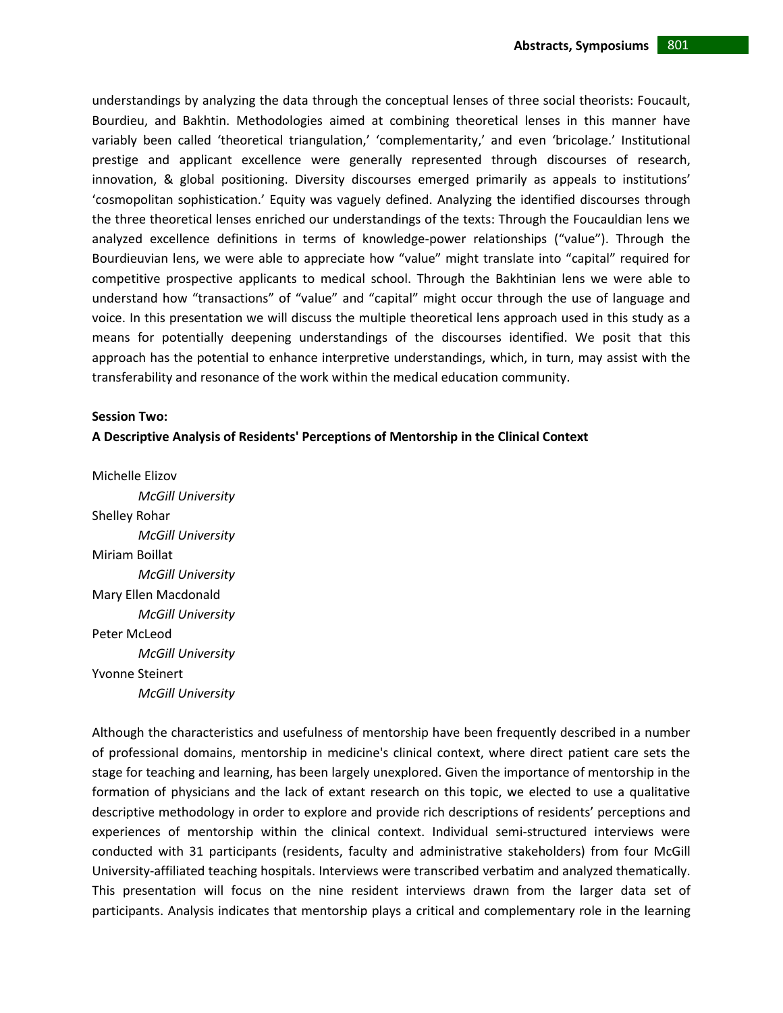understandings by analyzing the data through the conceptual lenses of three social theorists: Foucault, Bourdieu, and Bakhtin. Methodologies aimed at combining theoretical lenses in this manner have variably been called 'theoretical triangulation,' 'complementarity,' and even 'bricolage.' Institutional prestige and applicant excellence were generally represented through discourses of research, innovation, & global positioning. Diversity discourses emerged primarily as appeals to institutions' 'cosmopolitan sophistication.' Equity was vaguely defined. Analyzing the identified discourses through the three theoretical lenses enriched our understandings of the texts: Through the Foucauldian lens we analyzed excellence definitions in terms of knowledge-power relationships ("value"). Through the Bourdieuvian lens, we were able to appreciate how "value" might translate into "capital" required for competitive prospective applicants to medical school. Through the Bakhtinian lens we were able to understand how "transactions" of "value" and "capital" might occur through the use of language and voice. In this presentation we will discuss the multiple theoretical lens approach used in this study as a means for potentially deepening understandings of the discourses identified. We posit that this approach has the potential to enhance interpretive understandings, which, in turn, may assist with the transferability and resonance of the work within the medical education community.

#### **Session Two:**

### **A Descriptive Analysis of Residents' Perceptions of Mentorship in the Clinical Context**

Michelle Elizov *McGill University* Shelley Rohar *McGill University* Miriam Boillat *McGill University* Mary Ellen Macdonald *McGill University* Peter McLeod *McGill University* Yvonne Steinert *McGill University*

Although the characteristics and usefulness of mentorship have been frequently described in a number of professional domains, mentorship in medicine's clinical context, where direct patient care sets the stage for teaching and learning, has been largely unexplored. Given the importance of mentorship in the formation of physicians and the lack of extant research on this topic, we elected to use a qualitative descriptive methodology in order to explore and provide rich descriptions of residents' perceptions and experiences of mentorship within the clinical context. Individual semi-structured interviews were conducted with 31 participants (residents, faculty and administrative stakeholders) from four McGill University‐affiliated teaching hospitals. Interviews were transcribed verbatim and analyzed thematically. This presentation will focus on the nine resident interviews drawn from the larger data set of participants. Analysis indicates that mentorship plays a critical and complementary role in the learning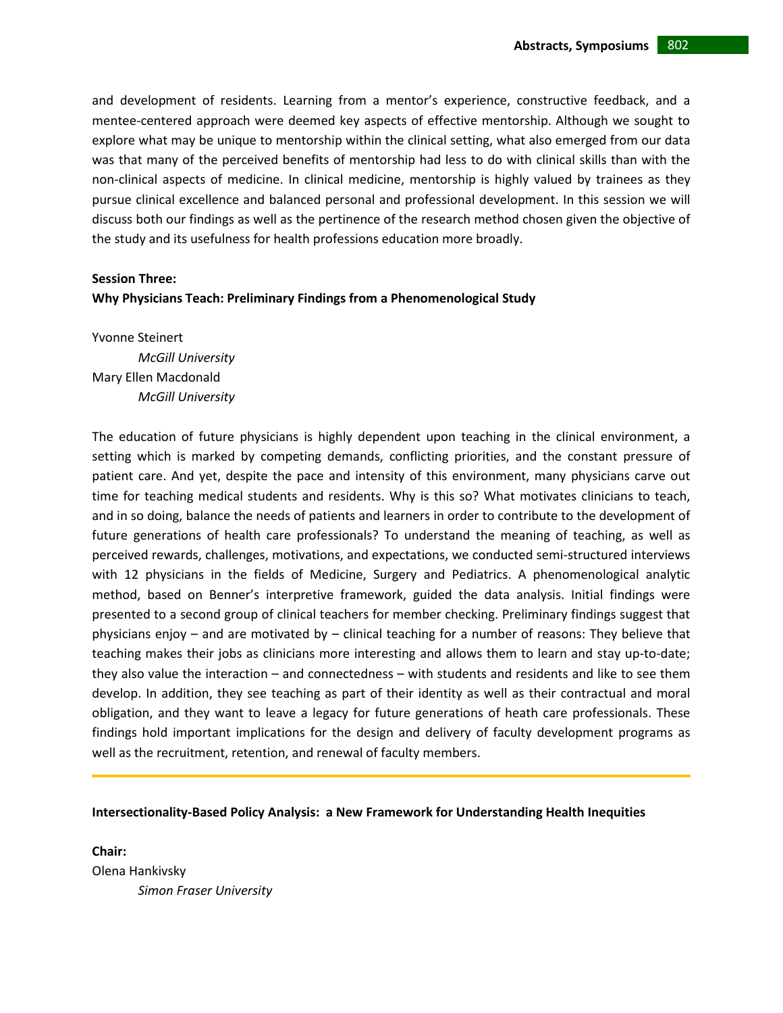and development of residents. Learning from a mentor's experience, constructive feedback, and a mentee-centered approach were deemed key aspects of effective mentorship. Although we sought to explore what may be unique to mentorship within the clinical setting, what also emerged from our data was that many of the perceived benefits of mentorship had less to do with clinical skills than with the non‐clinical aspects of medicine. In clinical medicine, mentorship is highly valued by trainees as they pursue clinical excellence and balanced personal and professional development. In this session we will discuss both our findings as well as the pertinence of the research method chosen given the objective of the study and its usefulness for health professions education more broadly.

#### **Session Three:**

### **Why Physicians Teach: Preliminary Findings from a Phenomenological Study**

Yvonne Steinert *McGill University* Mary Ellen Macdonald *McGill University*

The education of future physicians is highly dependent upon teaching in the clinical environment, a setting which is marked by competing demands, conflicting priorities, and the constant pressure of patient care. And yet, despite the pace and intensity of this environment, many physicians carve out time for teaching medical students and residents. Why is this so? What motivates clinicians to teach, and in so doing, balance the needs of patients and learners in order to contribute to the development of future generations of health care professionals? To understand the meaning of teaching, as well as perceived rewards, challenges, motivations, and expectations, we conducted semi‐structured interviews with 12 physicians in the fields of Medicine, Surgery and Pediatrics. A phenomenological analytic method, based on Benner's interpretive framework, guided the data analysis. Initial findings were presented to a second group of clinical teachers for member checking. Preliminary findings suggest that physicians enjoy – and are motivated by – clinical teaching for a number of reasons: They believe that teaching makes their jobs as clinicians more interesting and allows them to learn and stay up-to-date; they also value the interaction – and connectedness – with students and residents and like to see them develop. In addition, they see teaching as part of their identity as well as their contractual and moral obligation, and they want to leave a legacy for future generations of heath care professionals. These findings hold important implications for the design and delivery of faculty development programs as well as the recruitment, retention, and renewal of faculty members.

#### **Intersectionality-Based Policy Analysis: a New Framework for Understanding Health Inequities**

**Chair:** Olena Hankivsky *Simon Fraser University*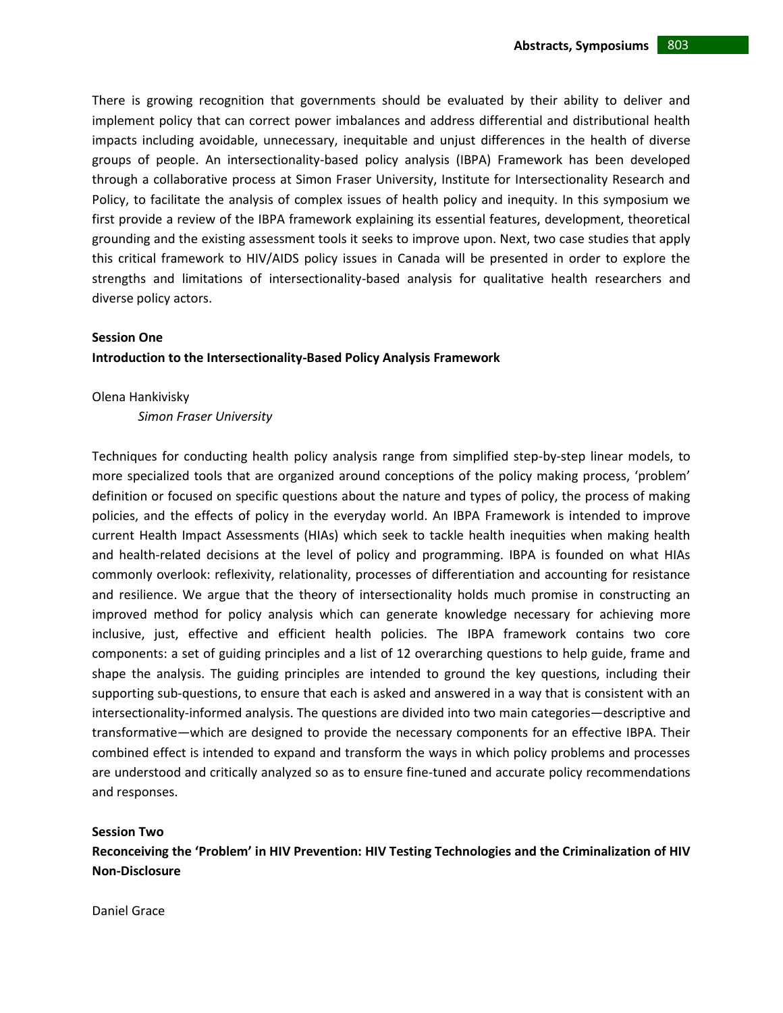There is growing recognition that governments should be evaluated by their ability to deliver and implement policy that can correct power imbalances and address differential and distributional health impacts including avoidable, unnecessary, inequitable and unjust differences in the health of diverse groups of people. An intersectionality-based policy analysis (IBPA) Framework has been developed through a collaborative process at Simon Fraser University, Institute for Intersectionality Research and Policy, to facilitate the analysis of complex issues of health policy and inequity. In this symposium we first provide a review of the IBPA framework explaining its essential features, development, theoretical grounding and the existing assessment tools it seeks to improve upon. Next, two case studies that apply this critical framework to HIV/AIDS policy issues in Canada will be presented in order to explore the strengths and limitations of intersectionality-based analysis for qualitative health researchers and diverse policy actors.

# **Session One**

### **Introduction to the Intersectionality-Based Policy Analysis Framework**

#### Olena Hankivisky

*Simon Fraser University*

Techniques for conducting health policy analysis range from simplified step-by-step linear models, to more specialized tools that are organized around conceptions of the policy making process, 'problem' definition or focused on specific questions about the nature and types of policy, the process of making policies, and the effects of policy in the everyday world. An IBPA Framework is intended to improve current Health Impact Assessments (HIAs) which seek to tackle health inequities when making health and health-related decisions at the level of policy and programming. IBPA is founded on what HIAs commonly overlook: reflexivity, relationality, processes of differentiation and accounting for resistance and resilience. We argue that the theory of intersectionality holds much promise in constructing an improved method for policy analysis which can generate knowledge necessary for achieving more inclusive, just, effective and efficient health policies. The IBPA framework contains two core components: a set of guiding principles and a list of 12 overarching questions to help guide, frame and shape the analysis. The guiding principles are intended to ground the key questions, including their supporting sub-questions, to ensure that each is asked and answered in a way that is consistent with an intersectionality-informed analysis. The questions are divided into two main categories—descriptive and transformative—which are designed to provide the necessary components for an effective IBPA. Their combined effect is intended to expand and transform the ways in which policy problems and processes are understood and critically analyzed so as to ensure fine-tuned and accurate policy recommendations and responses.

#### **Session Two**

**Reconceiving the 'Problem' in HIV Prevention: HIV Testing Technologies and the Criminalization of HIV Non-Disclosure**

Daniel Grace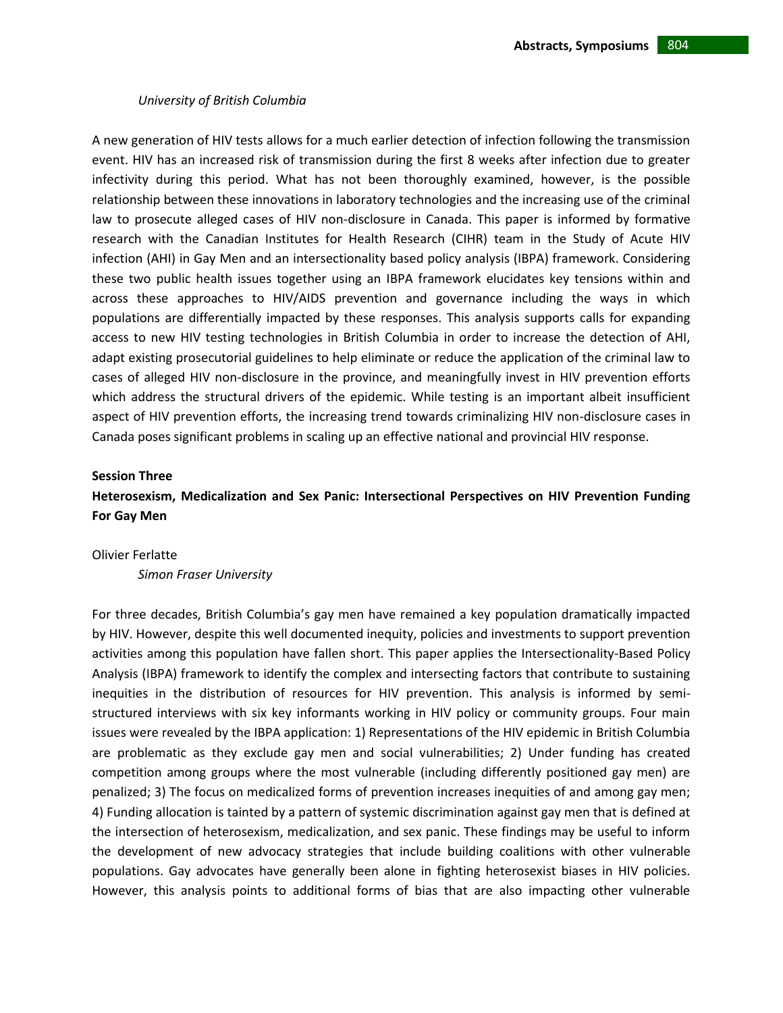#### *University of British Columbia*

A new generation of HIV tests allows for a much earlier detection of infection following the transmission event. HIV has an increased risk of transmission during the first 8 weeks after infection due to greater infectivity during this period. What has not been thoroughly examined, however, is the possible relationship between these innovations in laboratory technologies and the increasing use of the criminal law to prosecute alleged cases of HIV non-disclosure in Canada. This paper is informed by formative research with the Canadian Institutes for Health Research (CIHR) team in the Study of Acute HIV infection (AHI) in Gay Men and an intersectionality based policy analysis (IBPA) framework. Considering these two public health issues together using an IBPA framework elucidates key tensions within and across these approaches to HIV/AIDS prevention and governance including the ways in which populations are differentially impacted by these responses. This analysis supports calls for expanding access to new HIV testing technologies in British Columbia in order to increase the detection of AHI, adapt existing prosecutorial guidelines to help eliminate or reduce the application of the criminal law to cases of alleged HIV non-disclosure in the province, and meaningfully invest in HIV prevention efforts which address the structural drivers of the epidemic. While testing is an important albeit insufficient aspect of HIV prevention efforts, the increasing trend towards criminalizing HIV non-disclosure cases in Canada poses significant problems in scaling up an effective national and provincial HIV response.

#### **Session Three**

# **Heterosexism, Medicalization and Sex Panic: Intersectional Perspectives on HIV Prevention Funding For Gay Men**

#### Olivier Ferlatte

*Simon Fraser University*

For three decades, British Columbia's gay men have remained a key population dramatically impacted by HIV. However, despite this well documented inequity, policies and investments to support prevention activities among this population have fallen short. This paper applies the Intersectionality-Based Policy Analysis (IBPA) framework to identify the complex and intersecting factors that contribute to sustaining inequities in the distribution of resources for HIV prevention. This analysis is informed by semistructured interviews with six key informants working in HIV policy or community groups. Four main issues were revealed by the IBPA application: 1) Representations of the HIV epidemic in British Columbia are problematic as they exclude gay men and social vulnerabilities; 2) Under funding has created competition among groups where the most vulnerable (including differently positioned gay men) are penalized; 3) The focus on medicalized forms of prevention increases inequities of and among gay men; 4) Funding allocation is tainted by a pattern of systemic discrimination against gay men that is defined at the intersection of heterosexism, medicalization, and sex panic. These findings may be useful to inform the development of new advocacy strategies that include building coalitions with other vulnerable populations. Gay advocates have generally been alone in fighting heterosexist biases in HIV policies. However, this analysis points to additional forms of bias that are also impacting other vulnerable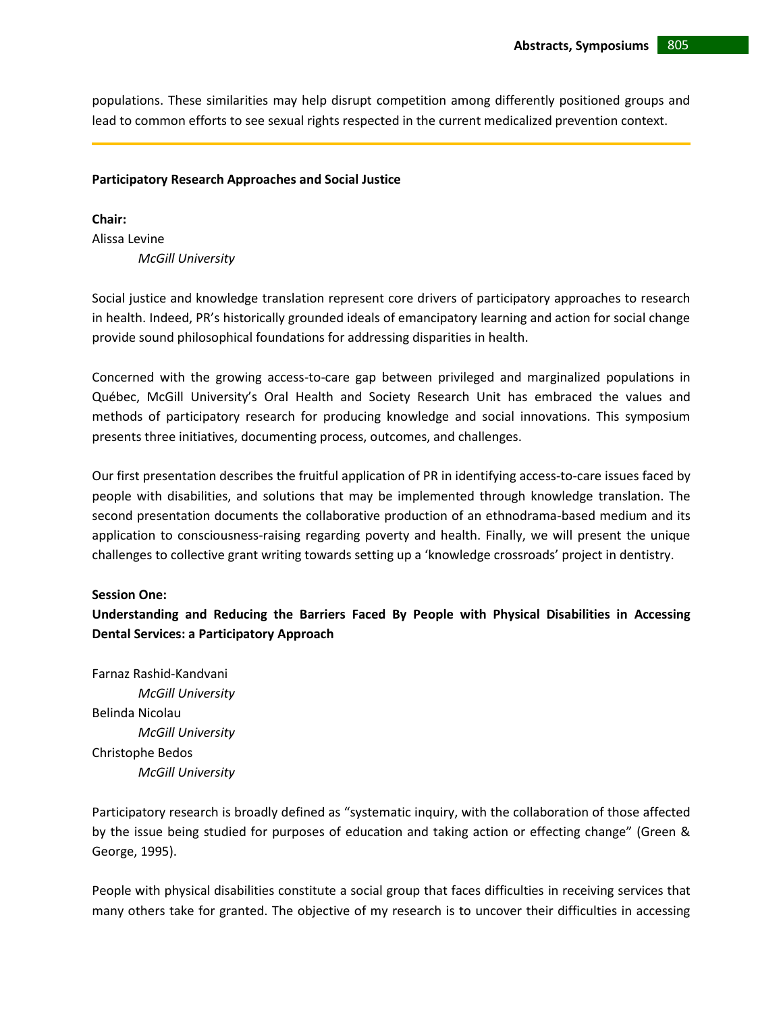populations. These similarities may help disrupt competition among differently positioned groups and lead to common efforts to see sexual rights respected in the current medicalized prevention context.

# **Participatory Research Approaches and Social Justice**

**Chair:** Alissa Levine *McGill University*

Social justice and knowledge translation represent core drivers of participatory approaches to research in health. Indeed, PR's historically grounded ideals of emancipatory learning and action for social change provide sound philosophical foundations for addressing disparities in health.

Concerned with the growing access-to-care gap between privileged and marginalized populations in Québec, McGill University's Oral Health and Society Research Unit has embraced the values and methods of participatory research for producing knowledge and social innovations. This symposium presents three initiatives, documenting process, outcomes, and challenges.

Our first presentation describes the fruitful application of PR in identifying access-to-care issues faced by people with disabilities, and solutions that may be implemented through knowledge translation. The second presentation documents the collaborative production of an ethnodrama-based medium and its application to consciousness-raising regarding poverty and health. Finally, we will present the unique challenges to collective grant writing towards setting up a 'knowledge crossroads' project in dentistry.

# **Session One:**

**Understanding and Reducing the Barriers Faced By People with Physical Disabilities in Accessing Dental Services: a Participatory Approach**

Farnaz Rashid-Kandvani *McGill University* Belinda Nicolau *McGill University* Christophe Bedos *McGill University*

Participatory research is broadly defined as "systematic inquiry, with the collaboration of those affected by the issue being studied for purposes of education and taking action or effecting change" (Green & George, 1995).

People with physical disabilities constitute a social group that faces difficulties in receiving services that many others take for granted. The objective of my research is to uncover their difficulties in accessing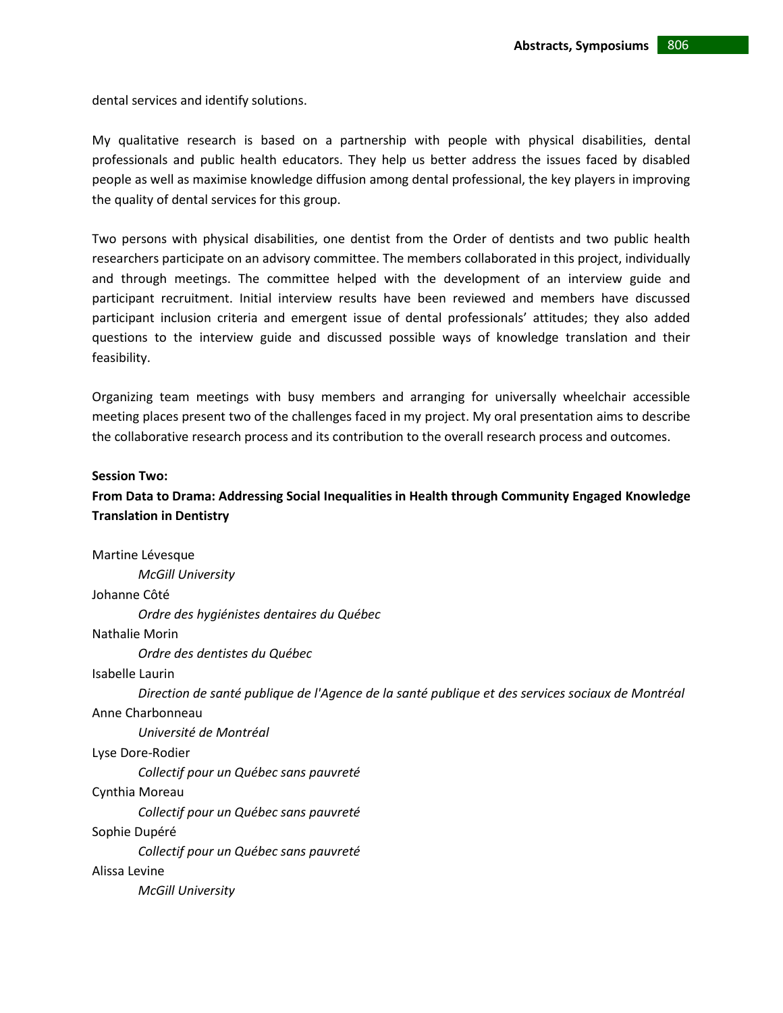dental services and identify solutions.

My qualitative research is based on a partnership with people with physical disabilities, dental professionals and public health educators. They help us better address the issues faced by disabled people as well as maximise knowledge diffusion among dental professional, the key players in improving the quality of dental services for this group.

Two persons with physical disabilities, one dentist from the Order of dentists and two public health researchers participate on an advisory committee. The members collaborated in this project, individually and through meetings. The committee helped with the development of an interview guide and participant recruitment. Initial interview results have been reviewed and members have discussed participant inclusion criteria and emergent issue of dental professionals' attitudes; they also added questions to the interview guide and discussed possible ways of knowledge translation and their feasibility.

Organizing team meetings with busy members and arranging for universally wheelchair accessible meeting places present two of the challenges faced in my project. My oral presentation aims to describe the collaborative research process and its contribution to the overall research process and outcomes.

### **Session Two:**

# **From Data to Drama: Addressing Social Inequalities in Health through Community Engaged Knowledge Translation in Dentistry**

Martine Lévesque *McGill University* Johanne Côté *Ordre des hygiénistes dentaires du Québec* Nathalie Morin *Ordre des dentistes du Québec* Isabelle Laurin *Direction de santé publique de l'Agence de la santé publique et des services sociaux de Montréal* Anne Charbonneau *Université de Montréal* Lyse Dore-Rodier *Collectif pour un Québec sans pauvreté* Cynthia Moreau *Collectif pour un Québec sans pauvreté* Sophie Dupéré *Collectif pour un Québec sans pauvreté* Alissa Levine *McGill University*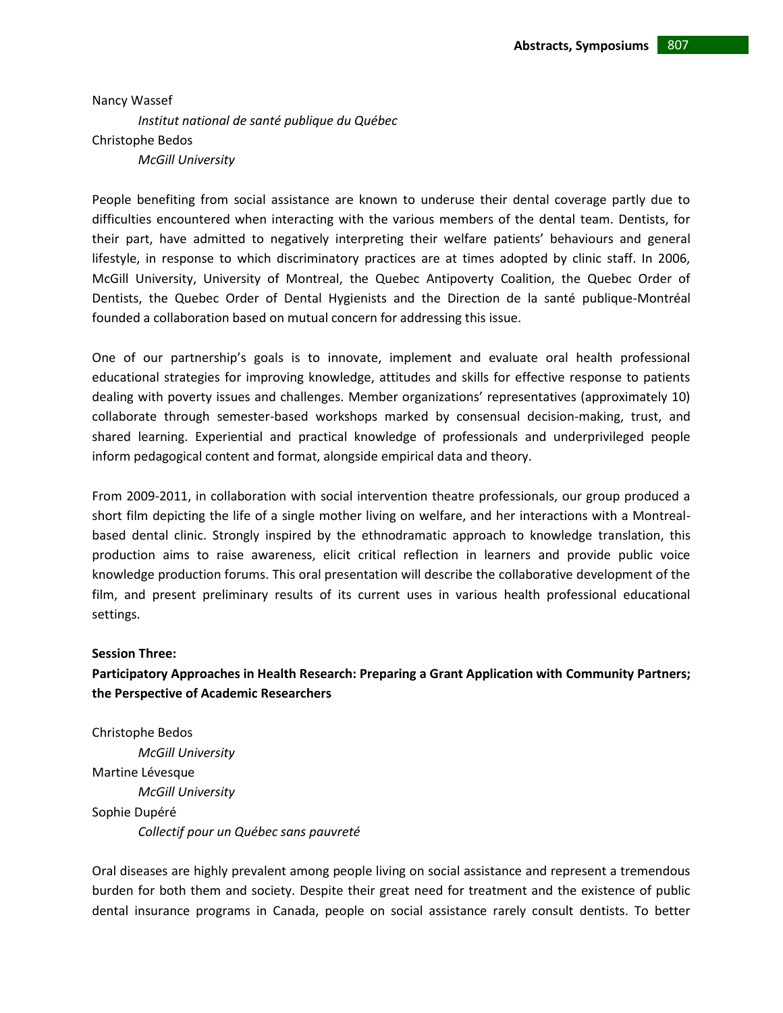Nancy Wassef *Institut national de santé publique du Québec* Christophe Bedos *McGill University*

People benefiting from social assistance are known to underuse their dental coverage partly due to difficulties encountered when interacting with the various members of the dental team. Dentists, for their part, have admitted to negatively interpreting their welfare patients' behaviours and general lifestyle, in response to which discriminatory practices are at times adopted by clinic staff. In 2006, McGill University, University of Montreal, the Quebec Antipoverty Coalition, the Quebec Order of Dentists, the Quebec Order of Dental Hygienists and the Direction de la santé publique-Montréal founded a collaboration based on mutual concern for addressing this issue.

One of our partnership's goals is to innovate, implement and evaluate oral health professional educational strategies for improving knowledge, attitudes and skills for effective response to patients dealing with poverty issues and challenges. Member organizations' representatives (approximately 10) collaborate through semester-based workshops marked by consensual decision-making, trust, and shared learning. Experiential and practical knowledge of professionals and underprivileged people inform pedagogical content and format, alongside empirical data and theory.

From 2009-2011, in collaboration with social intervention theatre professionals, our group produced a short film depicting the life of a single mother living on welfare, and her interactions with a Montrealbased dental clinic. Strongly inspired by the ethnodramatic approach to knowledge translation, this production aims to raise awareness, elicit critical reflection in learners and provide public voice knowledge production forums. This oral presentation will describe the collaborative development of the film, and present preliminary results of its current uses in various health professional educational settings.

# **Session Three:**

# **Participatory Approaches in Health Research: Preparing a Grant Application with Community Partners; the Perspective of Academic Researchers**

Christophe Bedos *McGill University* Martine Lévesque *McGill University* Sophie Dupéré *Collectif pour un Québec sans pauvreté*

Oral diseases are highly prevalent among people living on social assistance and represent a tremendous burden for both them and society. Despite their great need for treatment and the existence of public dental insurance programs in Canada, people on social assistance rarely consult dentists. To better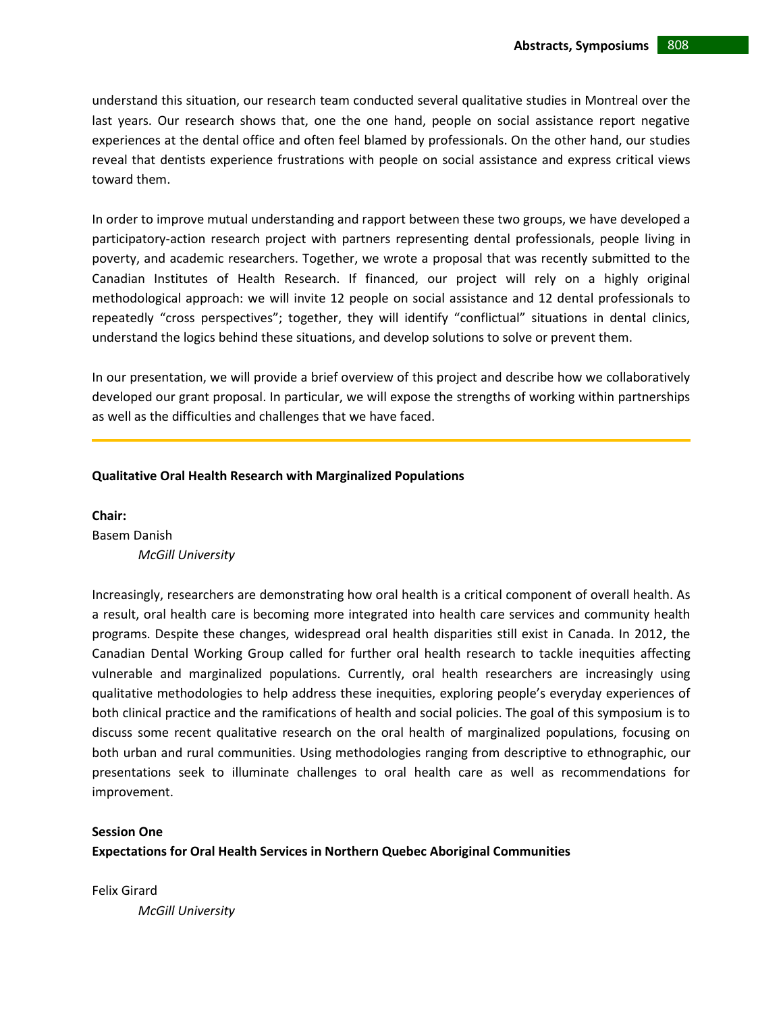understand this situation, our research team conducted several qualitative studies in Montreal over the last years. Our research shows that, one the one hand, people on social assistance report negative experiences at the dental office and often feel blamed by professionals. On the other hand, our studies reveal that dentists experience frustrations with people on social assistance and express critical views toward them.

In order to improve mutual understanding and rapport between these two groups, we have developed a participatory-action research project with partners representing dental professionals, people living in poverty, and academic researchers. Together, we wrote a proposal that was recently submitted to the Canadian Institutes of Health Research. If financed, our project will rely on a highly original methodological approach: we will invite 12 people on social assistance and 12 dental professionals to repeatedly "cross perspectives"; together, they will identify "conflictual" situations in dental clinics, understand the logics behind these situations, and develop solutions to solve or prevent them.

In our presentation, we will provide a brief overview of this project and describe how we collaboratively developed our grant proposal. In particular, we will expose the strengths of working within partnerships as well as the difficulties and challenges that we have faced.

### **Qualitative Oral Health Research with Marginalized Populations**

**Chair:** 

Basem Danish *McGill University*

Increasingly, researchers are demonstrating how oral health is a critical component of overall health. As a result, oral health care is becoming more integrated into health care services and community health programs. Despite these changes, widespread oral health disparities still exist in Canada. In 2012, the Canadian Dental Working Group called for further oral health research to tackle inequities affecting vulnerable and marginalized populations. Currently, oral health researchers are increasingly using qualitative methodologies to help address these inequities, exploring people's everyday experiences of both clinical practice and the ramifications of health and social policies. The goal of this symposium is to discuss some recent qualitative research on the oral health of marginalized populations, focusing on both urban and rural communities. Using methodologies ranging from descriptive to ethnographic, our presentations seek to illuminate challenges to oral health care as well as recommendations for improvement.

#### **Session One**

**Expectations for Oral Health Services in Northern Quebec Aboriginal Communities**

Felix Girard *McGill University*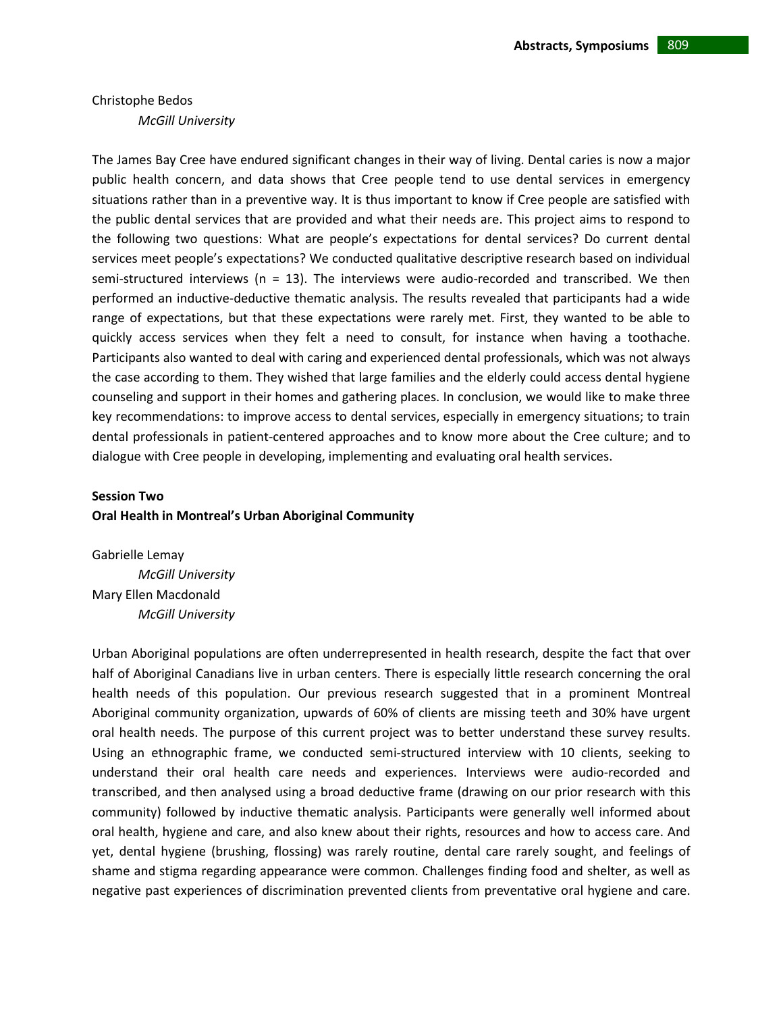# Christophe Bedos *McGill University*

The James Bay Cree have endured significant changes in their way of living. Dental caries is now a major public health concern, and data shows that Cree people tend to use dental services in emergency situations rather than in a preventive way. It is thus important to know if Cree people are satisfied with the public dental services that are provided and what their needs are. This project aims to respond to the following two questions: What are people's expectations for dental services? Do current dental services meet people's expectations? We conducted qualitative descriptive research based on individual semi-structured interviews ( $n = 13$ ). The interviews were audio-recorded and transcribed. We then performed an inductive‐deductive thematic analysis. The results revealed that participants had a wide range of expectations, but that these expectations were rarely met. First, they wanted to be able to quickly access services when they felt a need to consult, for instance when having a toothache. Participants also wanted to deal with caring and experienced dental professionals, which was not always the case according to them. They wished that large families and the elderly could access dental hygiene counseling and support in their homes and gathering places. In conclusion, we would like to make three key recommendations: to improve access to dental services, especially in emergency situations; to train dental professionals in patient‐centered approaches and to know more about the Cree culture; and to dialogue with Cree people in developing, implementing and evaluating oral health services.

# **Session Two Oral Health in Montreal's Urban Aboriginal Community**

Gabrielle Lemay *McGill University* Mary Ellen Macdonald *McGill University*

Urban Aboriginal populations are often underrepresented in health research, despite the fact that over half of Aboriginal Canadians live in urban centers. There is especially little research concerning the oral health needs of this population. Our previous research suggested that in a prominent Montreal Aboriginal community organization, upwards of 60% of clients are missing teeth and 30% have urgent oral health needs. The purpose of this current project was to better understand these survey results. Using an ethnographic frame, we conducted semi‐structured interview with 10 clients, seeking to understand their oral health care needs and experiences. Interviews were audio‐recorded and transcribed, and then analysed using a broad deductive frame (drawing on our prior research with this community) followed by inductive thematic analysis. Participants were generally well informed about oral health, hygiene and care, and also knew about their rights, resources and how to access care. And yet, dental hygiene (brushing, flossing) was rarely routine, dental care rarely sought, and feelings of shame and stigma regarding appearance were common. Challenges finding food and shelter, as well as negative past experiences of discrimination prevented clients from preventative oral hygiene and care.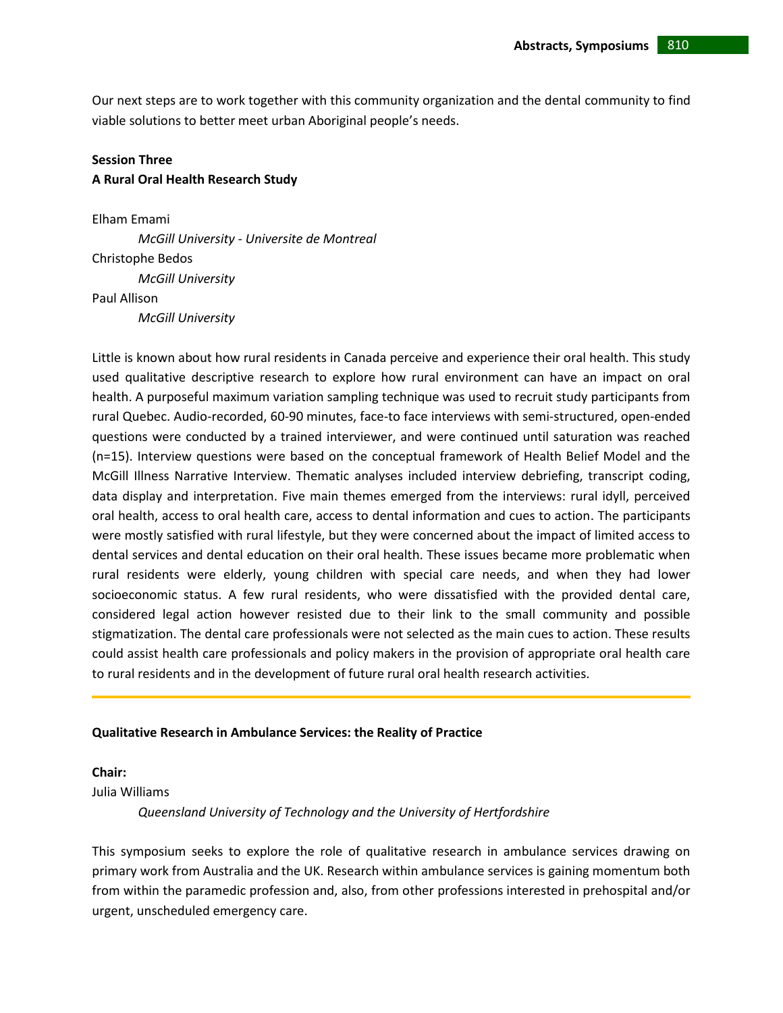Our next steps are to work together with this community organization and the dental community to find viable solutions to better meet urban Aboriginal people's needs.

# **Session Three A Rural Oral Health Research Study**

Elham Emami *McGill University - Universite de Montreal* Christophe Bedos *McGill University* Paul Allison *McGill University*

Little is known about how rural residents in Canada perceive and experience their oral health. This study used qualitative descriptive research to explore how rural environment can have an impact on oral health. A purposeful maximum variation sampling technique was used to recruit study participants from rural Quebec. Audio‐recorded, 60‐90 minutes, face‐to face interviews with semi‐structured, open‐ended questions were conducted by a trained interviewer, and were continued until saturation was reached (n=15). Interview questions were based on the conceptual framework of Health Belief Model and the McGill Illness Narrative Interview. Thematic analyses included interview debriefing, transcript coding, data display and interpretation. Five main themes emerged from the interviews: rural idyll, perceived oral health, access to oral health care, access to dental information and cues to action. The participants were mostly satisfied with rural lifestyle, but they were concerned about the impact of limited access to dental services and dental education on their oral health. These issues became more problematic when rural residents were elderly, young children with special care needs, and when they had lower socioeconomic status. A few rural residents, who were dissatisfied with the provided dental care, considered legal action however resisted due to their link to the small community and possible stigmatization. The dental care professionals were not selected as the main cues to action. These results could assist health care professionals and policy makers in the provision of appropriate oral health care to rural residents and in the development of future rural oral health research activities.

# **Qualitative Research in Ambulance Services: the Reality of Practice**

# **Chair:**

Julia Williams

*Queensland University of Technology and the University of Hertfordshire*

This symposium seeks to explore the role of qualitative research in ambulance services drawing on primary work from Australia and the UK. Research within ambulance services is gaining momentum both from within the paramedic profession and, also, from other professions interested in prehospital and/or urgent, unscheduled emergency care.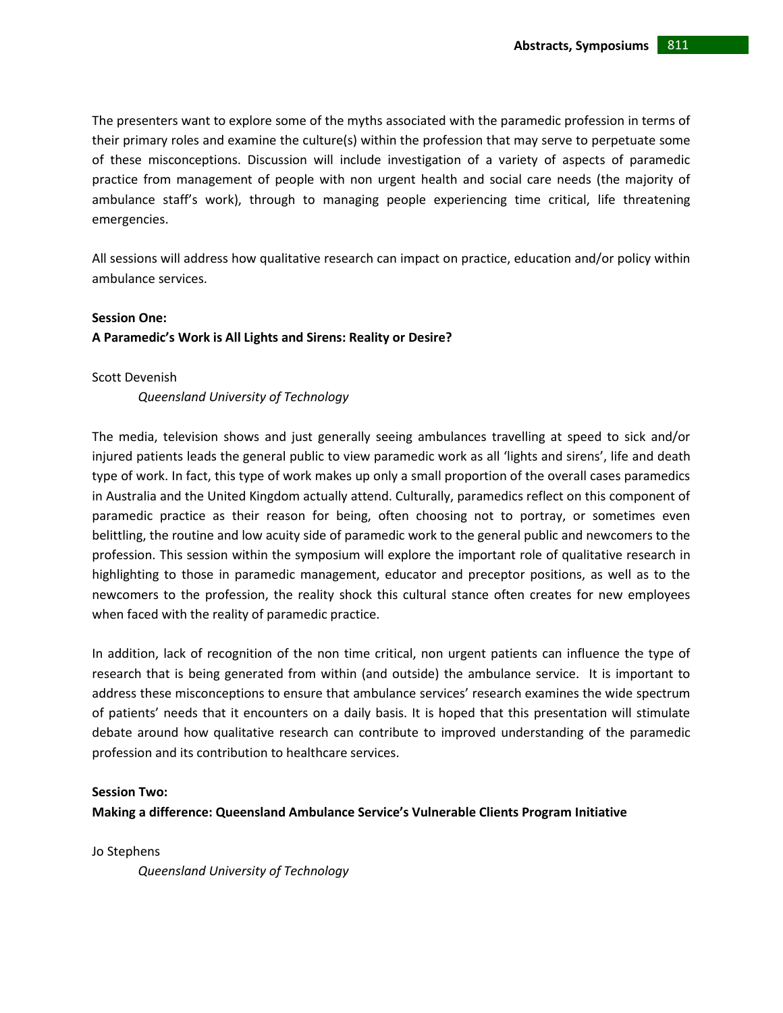The presenters want to explore some of the myths associated with the paramedic profession in terms of their primary roles and examine the culture(s) within the profession that may serve to perpetuate some of these misconceptions. Discussion will include investigation of a variety of aspects of paramedic practice from management of people with non urgent health and social care needs (the majority of ambulance staff's work), through to managing people experiencing time critical, life threatening emergencies.

All sessions will address how qualitative research can impact on practice, education and/or policy within ambulance services.

### **Session One:**

# **A Paramedic's Work is All Lights and Sirens: Reality or Desire?**

### Scott Devenish

*Queensland University of Technology* 

The media, television shows and just generally seeing ambulances travelling at speed to sick and/or injured patients leads the general public to view paramedic work as all 'lights and sirens', life and death type of work. In fact, this type of work makes up only a small proportion of the overall cases paramedics in Australia and the United Kingdom actually attend. Culturally, paramedics reflect on this component of paramedic practice as their reason for being, often choosing not to portray, or sometimes even belittling, the routine and low acuity side of paramedic work to the general public and newcomers to the profession. This session within the symposium will explore the important role of qualitative research in highlighting to those in paramedic management, educator and preceptor positions, as well as to the newcomers to the profession, the reality shock this cultural stance often creates for new employees when faced with the reality of paramedic practice.

In addition, lack of recognition of the non time critical, non urgent patients can influence the type of research that is being generated from within (and outside) the ambulance service. It is important to address these misconceptions to ensure that ambulance services' research examines the wide spectrum of patients' needs that it encounters on a daily basis. It is hoped that this presentation will stimulate debate around how qualitative research can contribute to improved understanding of the paramedic profession and its contribution to healthcare services.

#### **Session Two:**

**Making a difference: Queensland Ambulance Service's Vulnerable Clients Program Initiative**

Jo Stephens

*Queensland University of Technology*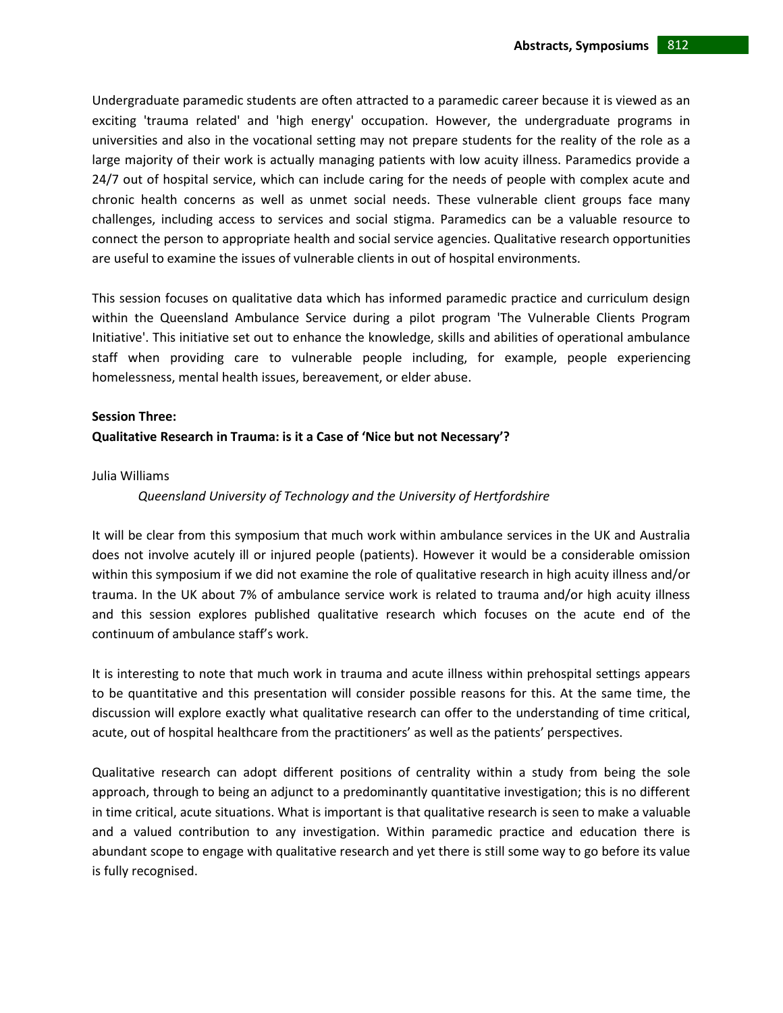Undergraduate paramedic students are often attracted to a paramedic career because it is viewed as an exciting 'trauma related' and 'high energy' occupation. However, the undergraduate programs in universities and also in the vocational setting may not prepare students for the reality of the role as a large majority of their work is actually managing patients with low acuity illness. Paramedics provide a 24/7 out of hospital service, which can include caring for the needs of people with complex acute and chronic health concerns as well as unmet social needs. These vulnerable client groups face many challenges, including access to services and social stigma. Paramedics can be a valuable resource to connect the person to appropriate health and social service agencies. Qualitative research opportunities are useful to examine the issues of vulnerable clients in out of hospital environments.

This session focuses on qualitative data which has informed paramedic practice and curriculum design within the Queensland Ambulance Service during a pilot program 'The Vulnerable Clients Program Initiative'. This initiative set out to enhance the knowledge, skills and abilities of operational ambulance staff when providing care to vulnerable people including, for example, people experiencing homelessness, mental health issues, bereavement, or elder abuse.

#### **Session Three:**

### **Qualitative Research in Trauma: is it a Case of 'Nice but not Necessary'?**

#### Julia Williams

#### *Queensland University of Technology and the University of Hertfordshire*

It will be clear from this symposium that much work within ambulance services in the UK and Australia does not involve acutely ill or injured people (patients). However it would be a considerable omission within this symposium if we did not examine the role of qualitative research in high acuity illness and/or trauma. In the UK about 7% of ambulance service work is related to trauma and/or high acuity illness and this session explores published qualitative research which focuses on the acute end of the continuum of ambulance staff's work.

It is interesting to note that much work in trauma and acute illness within prehospital settings appears to be quantitative and this presentation will consider possible reasons for this. At the same time, the discussion will explore exactly what qualitative research can offer to the understanding of time critical, acute, out of hospital healthcare from the practitioners' as well as the patients' perspectives.

Qualitative research can adopt different positions of centrality within a study from being the sole approach, through to being an adjunct to a predominantly quantitative investigation; this is no different in time critical, acute situations. What is important is that qualitative research is seen to make a valuable and a valued contribution to any investigation. Within paramedic practice and education there is abundant scope to engage with qualitative research and yet there is still some way to go before its value is fully recognised.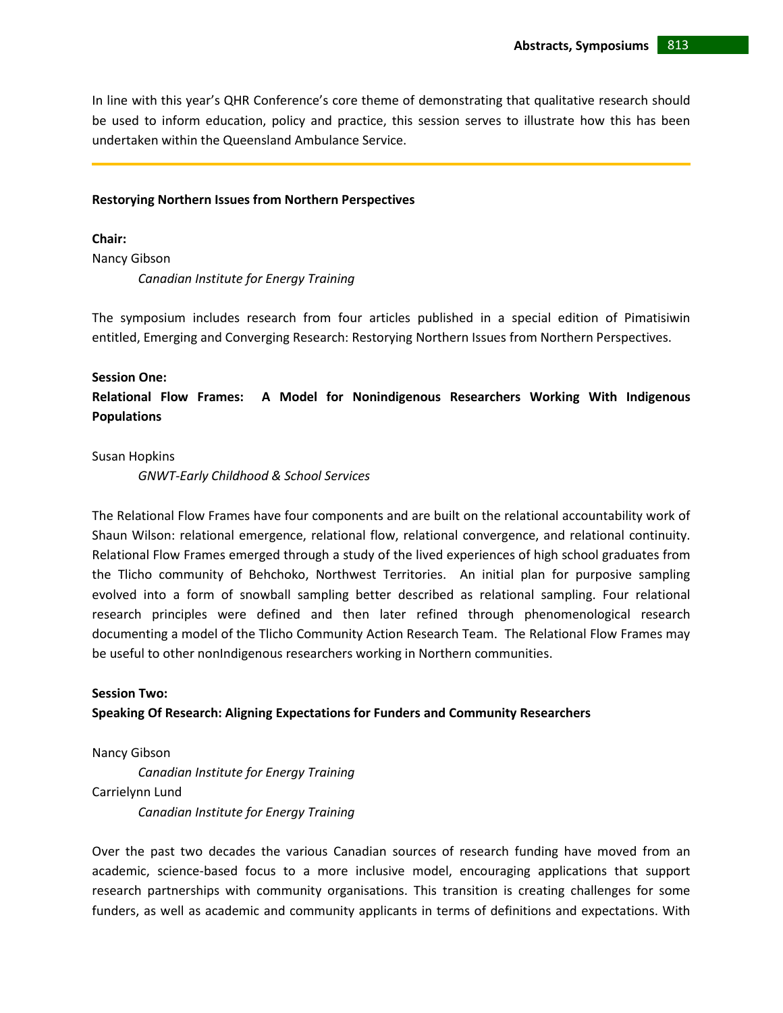In line with this year's QHR Conference's core theme of demonstrating that qualitative research should be used to inform education, policy and practice, this session serves to illustrate how this has been undertaken within the Queensland Ambulance Service.

#### **Restorying Northern Issues from Northern Perspectives**

**Chair:**  Nancy Gibson *Canadian Institute for Energy Training*

The symposium includes research from four articles published in a special edition of Pimatisiwin entitled, Emerging and Converging Research: Restorying Northern Issues from Northern Perspectives.

# **Session One:**

**Relational Flow Frames: A Model for Nonindigenous Researchers Working With Indigenous Populations**

Susan Hopkins

*GNWT-Early Childhood & School Services*

The Relational Flow Frames have four components and are built on the relational accountability work of Shaun Wilson: relational emergence, relational flow, relational convergence, and relational continuity. Relational Flow Frames emerged through a study of the lived experiences of high school graduates from the Tlicho community of Behchoko, Northwest Territories. An initial plan for purposive sampling evolved into a form of snowball sampling better described as relational sampling. Four relational research principles were defined and then later refined through phenomenological research documenting a model of the Tlicho Community Action Research Team. The Relational Flow Frames may be useful to other nonIndigenous researchers working in Northern communities.

### **Session Two:**

# **Speaking Of Research: Aligning Expectations for Funders and Community Researchers**

Nancy Gibson

*Canadian Institute for Energy Training* Carrielynn Lund *Canadian Institute for Energy Training*

Over the past two decades the various Canadian sources of research funding have moved from an academic, science-based focus to a more inclusive model, encouraging applications that support research partnerships with community organisations. This transition is creating challenges for some funders, as well as academic and community applicants in terms of definitions and expectations. With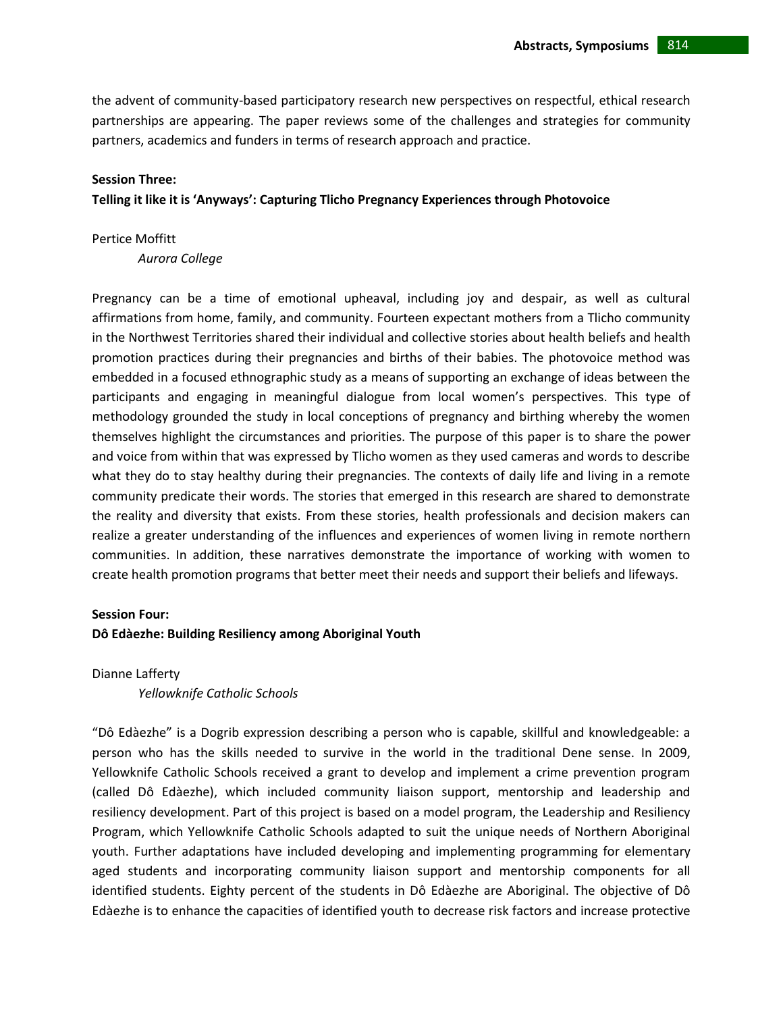the advent of community-based participatory research new perspectives on respectful, ethical research partnerships are appearing. The paper reviews some of the challenges and strategies for community partners, academics and funders in terms of research approach and practice.

### **Session Three:**

# **Telling it like it is 'Anyways': Capturing Tlicho Pregnancy Experiences through Photovoice**

Pertice Moffitt

*Aurora College*

Pregnancy can be a time of emotional upheaval, including joy and despair, as well as cultural affirmations from home, family, and community. Fourteen expectant mothers from a Tlicho community in the Northwest Territories shared their individual and collective stories about health beliefs and health promotion practices during their pregnancies and births of their babies. The photovoice method was embedded in a focused ethnographic study as a means of supporting an exchange of ideas between the participants and engaging in meaningful dialogue from local women's perspectives. This type of methodology grounded the study in local conceptions of pregnancy and birthing whereby the women themselves highlight the circumstances and priorities. The purpose of this paper is to share the power and voice from within that was expressed by Tlicho women as they used cameras and words to describe what they do to stay healthy during their pregnancies. The contexts of daily life and living in a remote community predicate their words. The stories that emerged in this research are shared to demonstrate the reality and diversity that exists. From these stories, health professionals and decision makers can realize a greater understanding of the influences and experiences of women living in remote northern communities. In addition, these narratives demonstrate the importance of working with women to create health promotion programs that better meet their needs and support their beliefs and lifeways.

# **Session Four:**

# **Dô Edàezhe: Building Resiliency among Aboriginal Youth**

Dianne Lafferty

*Yellowknife Catholic Schools*

"Dô Edàezhe" is a Dogrib expression describing a person who is capable, skillful and knowledgeable: a person who has the skills needed to survive in the world in the traditional Dene sense. In 2009, Yellowknife Catholic Schools received a grant to develop and implement a crime prevention program (called Dô Edàezhe), which included community liaison support, mentorship and leadership and resiliency development. Part of this project is based on a model program, the Leadership and Resiliency Program, which Yellowknife Catholic Schools adapted to suit the unique needs of Northern Aboriginal youth. Further adaptations have included developing and implementing programming for elementary aged students and incorporating community liaison support and mentorship components for all identified students. Eighty percent of the students in Dô Edàezhe are Aboriginal. The objective of Dô Edàezhe is to enhance the capacities of identified youth to decrease risk factors and increase protective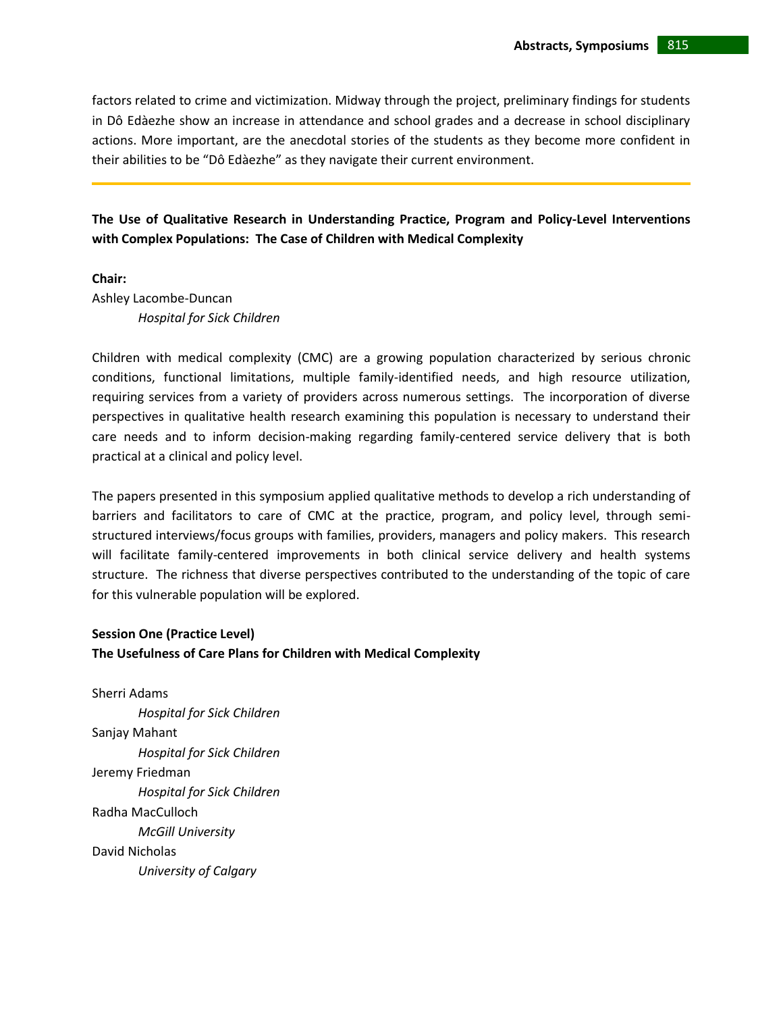factors related to crime and victimization. Midway through the project, preliminary findings for students in Dô Edàezhe show an increase in attendance and school grades and a decrease in school disciplinary actions. More important, are the anecdotal stories of the students as they become more confident in their abilities to be "Dô Edàezhe" as they navigate their current environment.

**The Use of Qualitative Research in Understanding Practice, Program and Policy-Level Interventions with Complex Populations: The Case of Children with Medical Complexity** 

**Chair:** 

Ashley Lacombe-Duncan *Hospital for Sick Children*

Children with medical complexity (CMC) are a growing population characterized by serious chronic conditions, functional limitations, multiple family-identified needs, and high resource utilization, requiring services from a variety of providers across numerous settings. The incorporation of diverse perspectives in qualitative health research examining this population is necessary to understand their care needs and to inform decision-making regarding family-centered service delivery that is both practical at a clinical and policy level.

The papers presented in this symposium applied qualitative methods to develop a rich understanding of barriers and facilitators to care of CMC at the practice, program, and policy level, through semistructured interviews/focus groups with families, providers, managers and policy makers. This research will facilitate family-centered improvements in both clinical service delivery and health systems structure. The richness that diverse perspectives contributed to the understanding of the topic of care for this vulnerable population will be explored.

# **Session One (Practice Level) The Usefulness of Care Plans for Children with Medical Complexity**

Sherri Adams *Hospital for Sick Children* Sanjay Mahant *Hospital for Sick Children* Jeremy Friedman *Hospital for Sick Children* Radha MacCulloch *McGill University* David Nicholas *University of Calgary*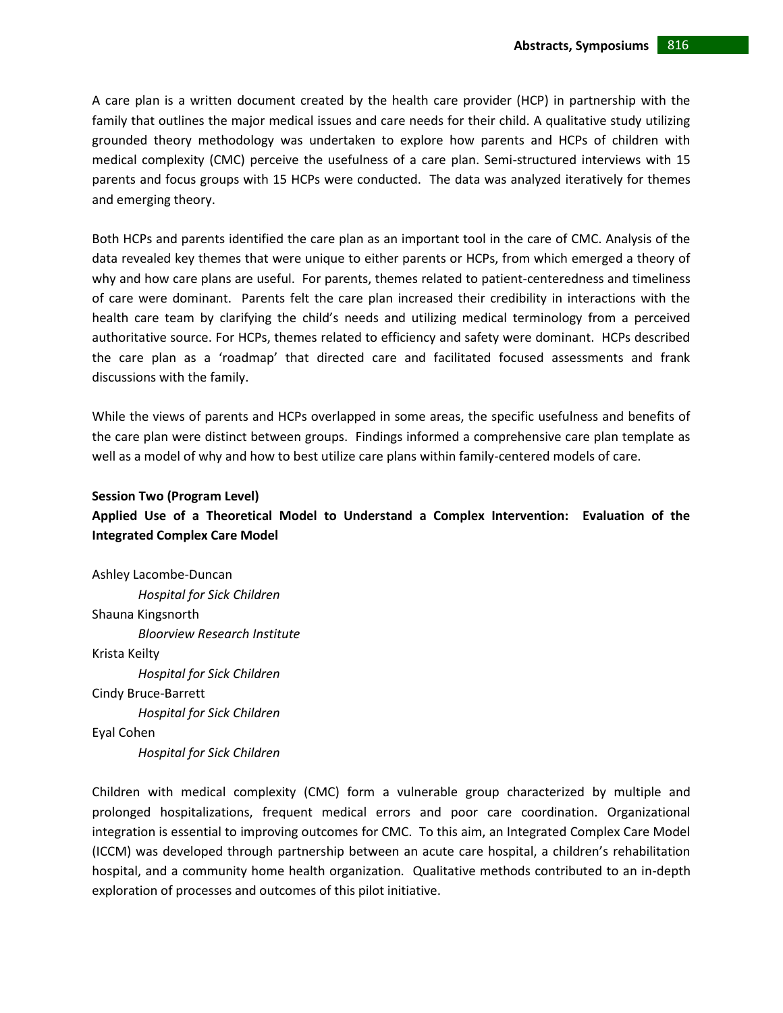A care plan is a written document created by the health care provider (HCP) in partnership with the family that outlines the major medical issues and care needs for their child. A qualitative study utilizing grounded theory methodology was undertaken to explore how parents and HCPs of children with medical complexity (CMC) perceive the usefulness of a care plan. Semi-structured interviews with 15 parents and focus groups with 15 HCPs were conducted. The data was analyzed iteratively for themes and emerging theory.

Both HCPs and parents identified the care plan as an important tool in the care of CMC. Analysis of the data revealed key themes that were unique to either parents or HCPs, from which emerged a theory of why and how care plans are useful. For parents, themes related to patient-centeredness and timeliness of care were dominant. Parents felt the care plan increased their credibility in interactions with the health care team by clarifying the child's needs and utilizing medical terminology from a perceived authoritative source. For HCPs, themes related to efficiency and safety were dominant. HCPs described the care plan as a 'roadmap' that directed care and facilitated focused assessments and frank discussions with the family.

While the views of parents and HCPs overlapped in some areas, the specific usefulness and benefits of the care plan were distinct between groups. Findings informed a comprehensive care plan template as well as a model of why and how to best utilize care plans within family-centered models of care.

# **Session Two (Program Level)**

# **Applied Use of a Theoretical Model to Understand a Complex Intervention: Evaluation of the Integrated Complex Care Model**

Ashley Lacombe-Duncan *Hospital for Sick Children* Shauna Kingsnorth *Bloorview Research Institute*  Krista Keilty *Hospital for Sick Children* Cindy Bruce-Barrett *Hospital for Sick Children* Eyal Cohen *Hospital for Sick Children*

Children with medical complexity (CMC) form a vulnerable group characterized by multiple and prolonged hospitalizations, frequent medical errors and poor care coordination. Organizational integration is essential to improving outcomes for CMC. To this aim, an Integrated Complex Care Model (ICCM) was developed through partnership between an acute care hospital, a children's rehabilitation hospital, and a community home health organization. Qualitative methods contributed to an in-depth exploration of processes and outcomes of this pilot initiative.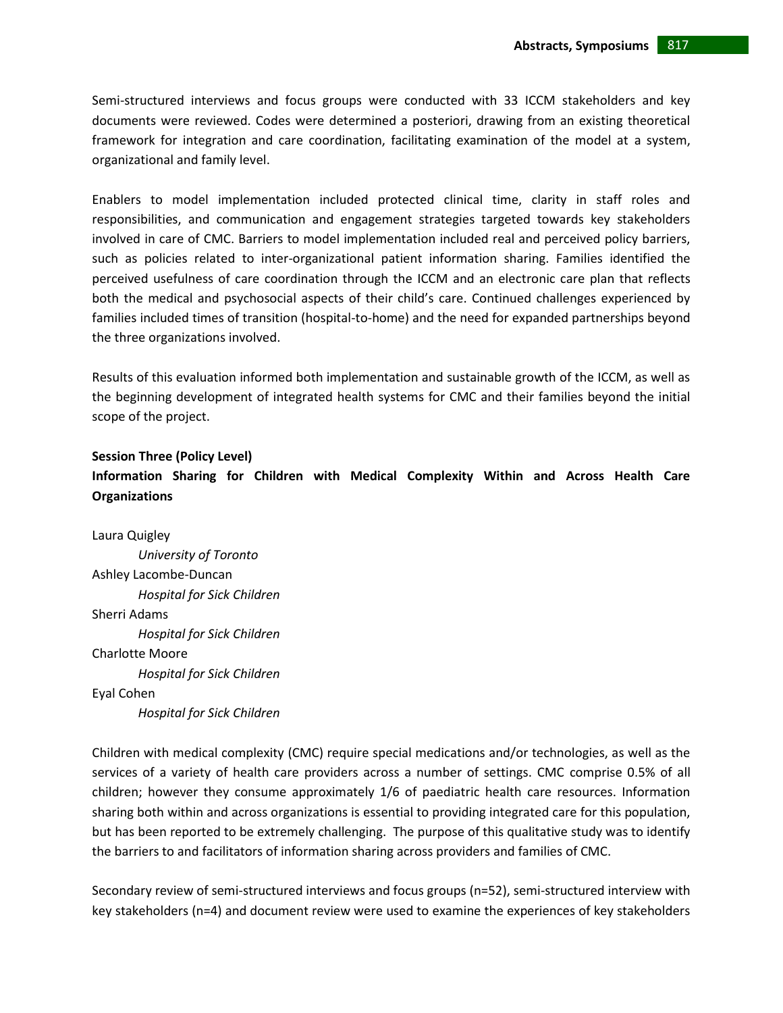Semi-structured interviews and focus groups were conducted with 33 ICCM stakeholders and key documents were reviewed. Codes were determined a posteriori, drawing from an existing theoretical framework for integration and care coordination, facilitating examination of the model at a system, organizational and family level.

Enablers to model implementation included protected clinical time, clarity in staff roles and responsibilities, and communication and engagement strategies targeted towards key stakeholders involved in care of CMC. Barriers to model implementation included real and perceived policy barriers, such as policies related to inter-organizational patient information sharing. Families identified the perceived usefulness of care coordination through the ICCM and an electronic care plan that reflects both the medical and psychosocial aspects of their child's care. Continued challenges experienced by families included times of transition (hospital-to-home) and the need for expanded partnerships beyond the three organizations involved.

Results of this evaluation informed both implementation and sustainable growth of the ICCM, as well as the beginning development of integrated health systems for CMC and their families beyond the initial scope of the project.

# **Session Three (Policy Level)**

**Information Sharing for Children with Medical Complexity Within and Across Health Care Organizations**

Laura Quigley *University of Toronto* Ashley Lacombe-Duncan *Hospital for Sick Children* Sherri Adams *Hospital for Sick Children* Charlotte Moore *Hospital for Sick Children* Eyal Cohen *Hospital for Sick Children*

Children with medical complexity (CMC) require special medications and/or technologies, as well as the services of a variety of health care providers across a number of settings. CMC comprise 0.5% of all children; however they consume approximately 1/6 of paediatric health care resources. Information sharing both within and across organizations is essential to providing integrated care for this population, but has been reported to be extremely challenging. The purpose of this qualitative study was to identify the barriers to and facilitators of information sharing across providers and families of CMC.

Secondary review of semi-structured interviews and focus groups (n=52), semi-structured interview with key stakeholders (n=4) and document review were used to examine the experiences of key stakeholders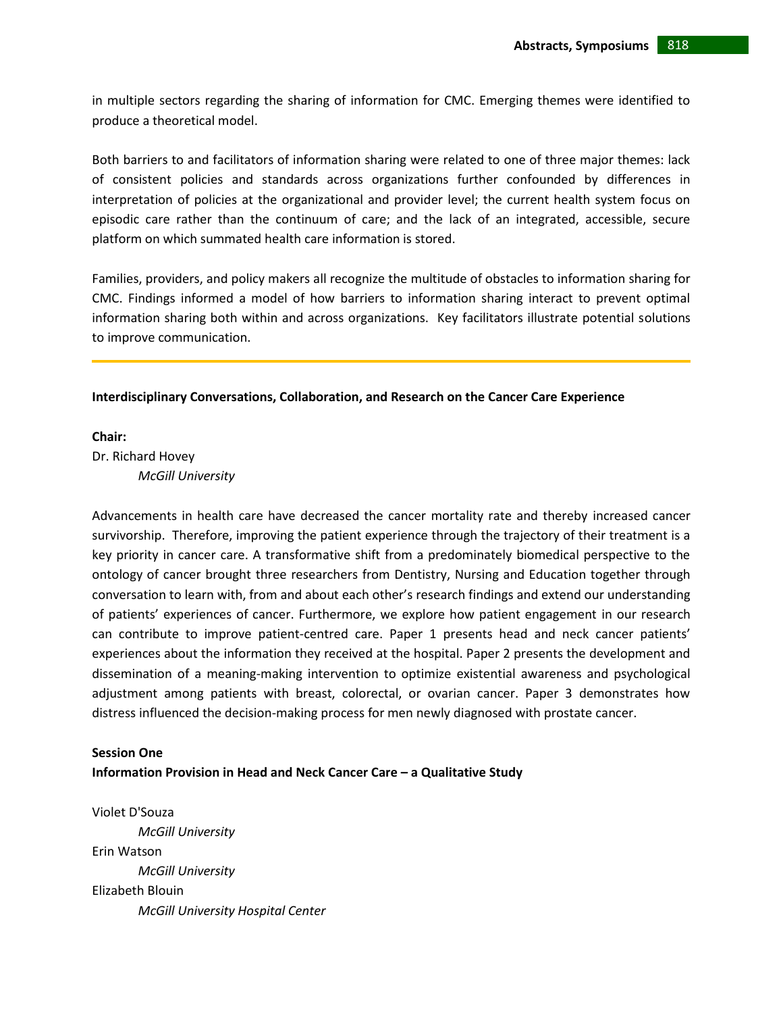in multiple sectors regarding the sharing of information for CMC. Emerging themes were identified to produce a theoretical model.

Both barriers to and facilitators of information sharing were related to one of three major themes: lack of consistent policies and standards across organizations further confounded by differences in interpretation of policies at the organizational and provider level; the current health system focus on episodic care rather than the continuum of care; and the lack of an integrated, accessible, secure platform on which summated health care information is stored.

Families, providers, and policy makers all recognize the multitude of obstacles to information sharing for CMC. Findings informed a model of how barriers to information sharing interact to prevent optimal information sharing both within and across organizations. Key facilitators illustrate potential solutions to improve communication.

### **Interdisciplinary Conversations, Collaboration, and Research on the Cancer Care Experience**

### **Chair:**

Dr. Richard Hovey *McGill University*

Advancements in health care have decreased the cancer mortality rate and thereby increased cancer survivorship. Therefore, improving the patient experience through the trajectory of their treatment is a key priority in cancer care. A transformative shift from a predominately biomedical perspective to the ontology of cancer brought three researchers from Dentistry, Nursing and Education together through conversation to learn with, from and about each other's research findings and extend our understanding of patients' experiences of cancer. Furthermore, we explore how patient engagement in our research can contribute to improve patient-centred care. Paper 1 presents head and neck cancer patients' experiences about the information they received at the hospital. Paper 2 presents the development and dissemination of a meaning-making intervention to optimize existential awareness and psychological adjustment among patients with breast, colorectal, or ovarian cancer. Paper 3 demonstrates how distress influenced the decision-making process for men newly diagnosed with prostate cancer.

#### **Session One**

**Information Provision in Head and Neck Cancer Care – a Qualitative Study** 

Violet D'Souza *McGill University* Erin Watson *McGill University* Elizabeth Blouin *McGill University Hospital Center*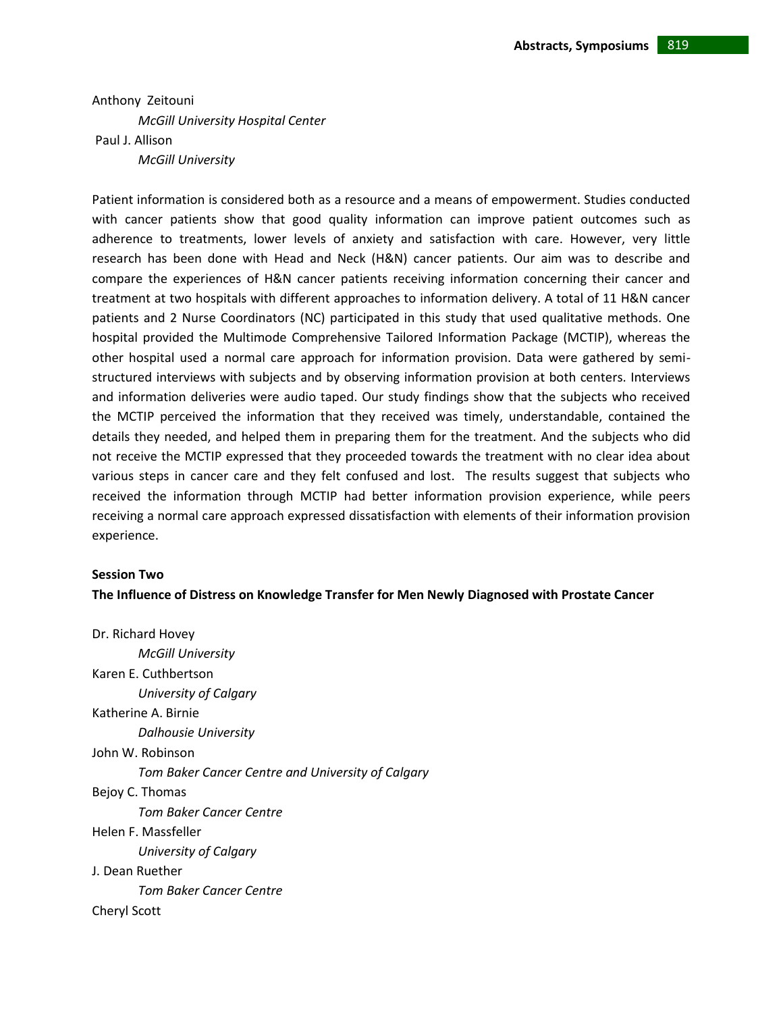Anthony Zeitouni *McGill University Hospital Center* Paul J. Allison *McGill University*

Patient information is considered both as a resource and a means of empowerment. Studies conducted with cancer patients show that good quality information can improve patient outcomes such as adherence to treatments, lower levels of anxiety and satisfaction with care. However, very little research has been done with Head and Neck (H&N) cancer patients. Our aim was to describe and compare the experiences of H&N cancer patients receiving information concerning their cancer and treatment at two hospitals with different approaches to information delivery. A total of 11 H&N cancer patients and 2 Nurse Coordinators (NC) participated in this study that used qualitative methods. One hospital provided the Multimode Comprehensive Tailored Information Package (MCTIP), whereas the other hospital used a normal care approach for information provision. Data were gathered by semistructured interviews with subjects and by observing information provision at both centers. Interviews and information deliveries were audio taped. Our study findings show that the subjects who received the MCTIP perceived the information that they received was timely, understandable, contained the details they needed, and helped them in preparing them for the treatment. And the subjects who did not receive the MCTIP expressed that they proceeded towards the treatment with no clear idea about various steps in cancer care and they felt confused and lost. The results suggest that subjects who received the information through MCTIP had better information provision experience, while peers receiving a normal care approach expressed dissatisfaction with elements of their information provision experience.

#### **Session Two**

**The Influence of Distress on Knowledge Transfer for Men Newly Diagnosed with Prostate Cancer**

Dr. Richard Hovey *McGill University* Karen E. Cuthbertson *University of Calgary* Katherine A. Birnie *Dalhousie University* John W. Robinson *Tom Baker Cancer Centre and University of Calgary* Bejoy C. Thomas *Tom Baker Cancer Centre* Helen F. Massfeller *University of Calgary* J. Dean Ruether *Tom Baker Cancer Centre* Cheryl Scott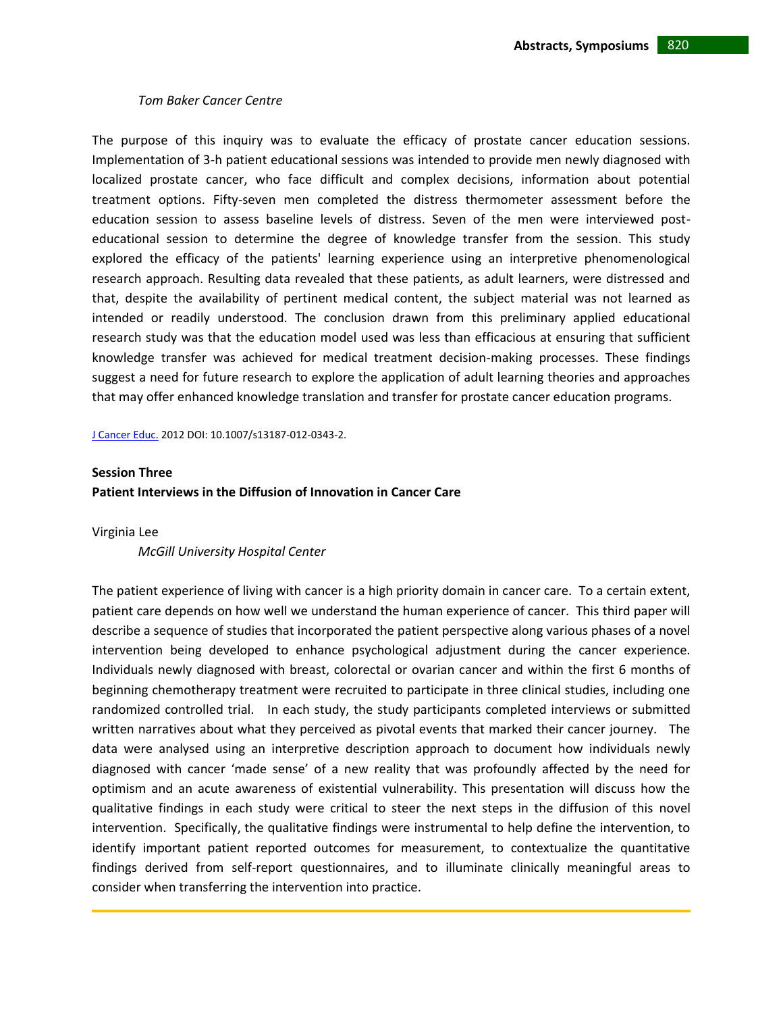#### *Tom Baker Cancer Centre*

The purpose of this inquiry was to evaluate the efficacy of prostate cancer education sessions. Implementation of 3-h patient educational sessions was intended to provide men newly diagnosed with localized prostate cancer, who face difficult and complex decisions, information about potential treatment options. Fifty-seven men completed the distress thermometer assessment before the education session to assess baseline levels of distress. Seven of the men were interviewed posteducational session to determine the degree of knowledge transfer from the session. This study explored the efficacy of the patients' learning experience using an interpretive phenomenological research approach. Resulting data revealed that these patients, as adult learners, were distressed and that, despite the availability of pertinent medical content, the subject material was not learned as intended or readily understood. The conclusion drawn from this preliminary applied educational research study was that the education model used was less than efficacious at ensuring that sufficient knowledge transfer was achieved for medical treatment decision-making processes. These findings suggest a need for future research to explore the application of adult learning theories and approaches that may offer enhanced knowledge translation and transfer for prostate cancer education programs.

[J Cancer Educ.](http://www.ncbi.nlm.nih.gov/pubmed/22528629) 2012 DOI: 10.1007/s13187-012-0343-2.

### **Session Three**

**Patient Interviews in the Diffusion of Innovation in Cancer Care**

Virginia Lee

*McGill University Hospital Center*

The patient experience of living with cancer is a high priority domain in cancer care. To a certain extent, patient care depends on how well we understand the human experience of cancer. This third paper will describe a sequence of studies that incorporated the patient perspective along various phases of a novel intervention being developed to enhance psychological adjustment during the cancer experience. Individuals newly diagnosed with breast, colorectal or ovarian cancer and within the first 6 months of beginning chemotherapy treatment were recruited to participate in three clinical studies, including one randomized controlled trial. In each study, the study participants completed interviews or submitted written narratives about what they perceived as pivotal events that marked their cancer journey. The data were analysed using an interpretive description approach to document how individuals newly diagnosed with cancer 'made sense' of a new reality that was profoundly affected by the need for optimism and an acute awareness of existential vulnerability. This presentation will discuss how the qualitative findings in each study were critical to steer the next steps in the diffusion of this novel intervention. Specifically, the qualitative findings were instrumental to help define the intervention, to identify important patient reported outcomes for measurement, to contextualize the quantitative findings derived from self-report questionnaires, and to illuminate clinically meaningful areas to consider when transferring the intervention into practice.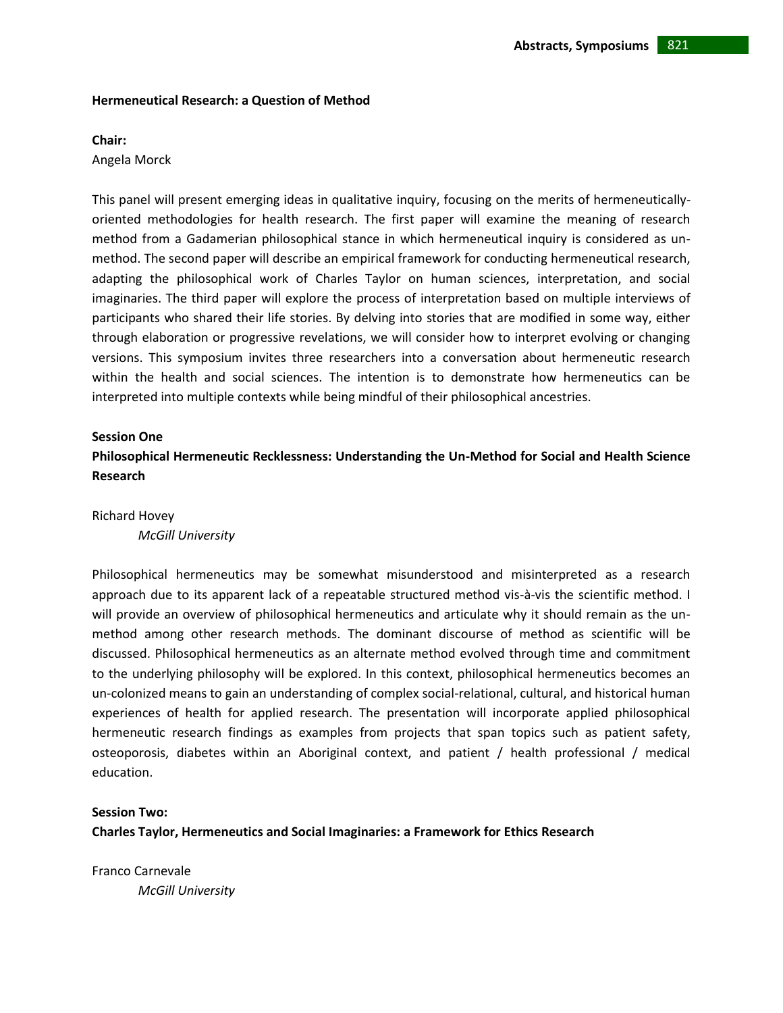### **Hermeneutical Research: a Question of Method**

#### **Chair:**

Angela Morck

This panel will present emerging ideas in qualitative inquiry, focusing on the merits of hermeneuticallyoriented methodologies for health research. The first paper will examine the meaning of research method from a Gadamerian philosophical stance in which hermeneutical inquiry is considered as unmethod. The second paper will describe an empirical framework for conducting hermeneutical research, adapting the philosophical work of Charles Taylor on human sciences, interpretation, and social imaginaries. The third paper will explore the process of interpretation based on multiple interviews of participants who shared their life stories. By delving into stories that are modified in some way, either through elaboration or progressive revelations, we will consider how to interpret evolving or changing versions. This symposium invites three researchers into a conversation about hermeneutic research within the health and social sciences. The intention is to demonstrate how hermeneutics can be interpreted into multiple contexts while being mindful of their philosophical ancestries.

### **Session One**

**Philosophical Hermeneutic Recklessness: Understanding the Un-Method for Social and Health Science Research** 

Richard Hovey

*McGill University*

Philosophical hermeneutics may be somewhat misunderstood and misinterpreted as a research approach due to its apparent lack of a repeatable structured method vis-à-vis the scientific method. I will provide an overview of philosophical hermeneutics and articulate why it should remain as the unmethod among other research methods. The dominant discourse of method as scientific will be discussed. Philosophical hermeneutics as an alternate method evolved through time and commitment to the underlying philosophy will be explored. In this context, philosophical hermeneutics becomes an un-colonized means to gain an understanding of complex social-relational, cultural, and historical human experiences of health for applied research. The presentation will incorporate applied philosophical hermeneutic research findings as examples from projects that span topics such as patient safety, osteoporosis, diabetes within an Aboriginal context, and patient / health professional / medical education.

# **Session Two:**

**Charles Taylor, Hermeneutics and Social Imaginaries: a Framework for Ethics Research**

Franco Carnevale *McGill University*